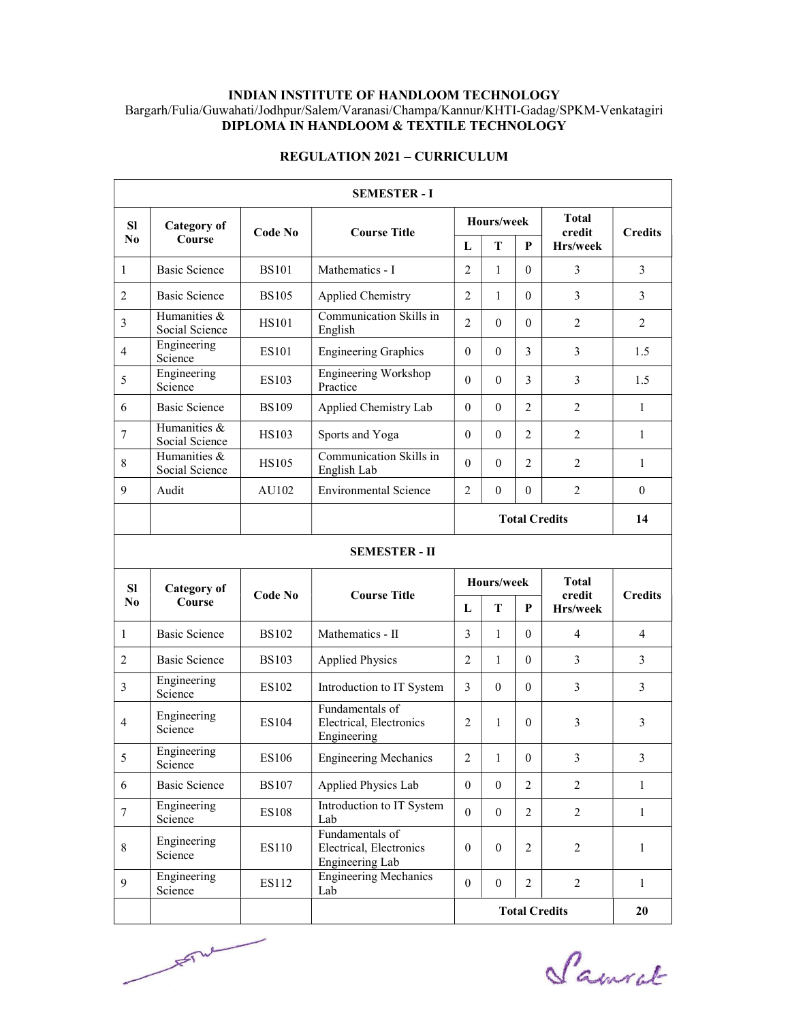## INDIAN INSTITUTE OF HANDLOOM TECHNOLOGY Bargarh/Fulia/Guwahati/Jodhpur/Salem/Varanasi/Champa/Kannur/KHTI-Gadag/SPKM-Venkatagiri DIPLOMA IN HANDLOOM & TEXTILE TECHNOLOGY

| <b>SEMESTER - I</b>  |                                |              |                                        |                                        |               |                |                        |                |
|----------------------|--------------------------------|--------------|----------------------------------------|----------------------------------------|---------------|----------------|------------------------|----------------|
| <b>SI</b>            | <b>Category</b> of<br>Course   | Code No      | <b>Course Title</b>                    | Hours/week                             |               |                | <b>Total</b><br>credit | <b>Credits</b> |
| N <sub>0</sub>       |                                |              |                                        | L                                      | T<br>P        |                | Hrs/week               |                |
| 1                    | <b>Basic Science</b>           | <b>BS101</b> | $\mathfrak{D}$<br>Mathematics - I      |                                        | 1             | $\Omega$       | 3                      | 3              |
| $\mathfrak{D}$       | <b>Basic Science</b>           | <b>BS105</b> | Applied Chemistry                      | $\mathfrak{D}$                         | 1             | $\Omega$       | 3                      | 3              |
| 3                    | Humanities &<br>Social Science | <b>HS101</b> | Communication Skills in<br>English     | $\overline{2}$                         | $\theta$      | $\Omega$       | $\overline{2}$         | $\overline{2}$ |
| $\overline{4}$       | Engineering<br>Science         | <b>ES101</b> | <b>Engineering Graphics</b>            | $\theta$                               | 3<br>$\theta$ |                | 3                      | 1.5            |
| 5                    | Engineering<br>Science         | ES103        | Engineering Workshop<br>Practice       | $\Omega$<br>$\theta$<br>3              |               | 3              | 1.5                    |                |
| 6                    | <b>Basic Science</b>           | <b>BS109</b> | Applied Chemistry Lab                  |                                        | $\theta$      | $\overline{2}$ | 2                      | $\mathbf{1}$   |
| 7                    | Humanities &<br>Social Science | <b>HS103</b> | Sports and Yoga                        |                                        | $\Omega$      | $\mathfrak{D}$ | 2                      | $\mathbf{1}$   |
| 8                    | Humanities &<br>Social Science | <b>HS105</b> | Communication Skills in<br>English Lab | $\overline{2}$<br>$\Omega$<br>$\Omega$ |               | $\overline{2}$ | 1                      |                |
| 9                    | Audit                          | AU102        | <b>Environmental Science</b>           | $\mathfrak{D}$<br>$\Omega$<br>$\Omega$ |               | $\overline{2}$ | $\theta$               |                |
|                      |                                |              |                                        |                                        | 14            |                |                        |                |
| <b>SEMESTER - II</b> |                                |              |                                        |                                        |               |                |                        |                |
| <b>SI</b>            | <b>Category</b> of             | Code No      | <b>Course Title</b>                    | Hours/week                             |               |                | <b>Total</b>           |                |
| $\bf N$ <sub>0</sub> | <b>Course</b>                  |              |                                        | L                                      | T             | P              | credit<br>Hrs/week     | <b>Credits</b> |
| 1                    | <b>Basic Science</b>           | <b>BS102</b> | Mathematics - II                       | 3                                      | 1             | $\Omega$       | $\overline{4}$         | $\overline{4}$ |
|                      |                                |              |                                        |                                        |               |                |                        |                |

# REGULATION 2021 – CURRICULUM

| SEMIESI ER = 11 |                              |              |                                                               |                      |          |                |                    |                |
|-----------------|------------------------------|--------------|---------------------------------------------------------------|----------------------|----------|----------------|--------------------|----------------|
| <b>SI</b>       | <b>Category of</b><br>Course | Code No      |                                                               | Hours/week           |          |                | <b>Total</b>       |                |
| N <sub>0</sub>  |                              |              | <b>Course Title</b>                                           | L                    | T        | P              | credit<br>Hrs/week | <b>Credits</b> |
| 1               | Basic Science                | <b>BS102</b> | Mathematics - II                                              | 3                    | 1        | $\Omega$       | $\overline{4}$     | $\overline{4}$ |
| $\overline{2}$  | Basic Science                | <b>BS103</b> | <b>Applied Physics</b>                                        |                      | 1        | $\Omega$       | 3                  | 3              |
| 3               | Engineering<br>Science       | ES102        | Introduction to IT System                                     |                      | $\Omega$ | $\Omega$       | 3                  | 3              |
| $\overline{4}$  | Engineering<br>Science       | ES104        | Fundamentals of<br>Electrical, Electronics<br>Engineering     |                      | 1        | $\Omega$       | 3                  | 3              |
| 5               | Engineering<br>Science       | ES106        | <b>Engineering Mechanics</b>                                  | $\mathfrak{D}$       | 1        | $\Omega$       | 3                  | 3              |
| 6               | Basic Science                | <b>BS107</b> | Applied Physics Lab                                           | $\Omega$             | $\Omega$ | $\overline{2}$ | $\overline{2}$     | 1              |
| 7               | Engineering<br>Science       | <b>ES108</b> | Introduction to IT System<br>Lab                              | $\Omega$             | $\Omega$ | $\overline{2}$ | $\overline{2}$     | 1              |
| 8               | Engineering<br>Science       | ES110        | Fundamentals of<br>Electrical, Electronics<br>Engineering Lab | $\Omega$             | $\Omega$ | $\overline{2}$ | $\overline{2}$     | 1              |
| 9               | Engineering<br>Science       | ES112        | <b>Engineering Mechanics</b><br>Lab                           | $\Omega$             | $\theta$ | $\overline{2}$ | $\overline{2}$     | 1              |
|                 |                              |              |                                                               | <b>Total Credits</b> |          |                |                    | 20             |



redits 20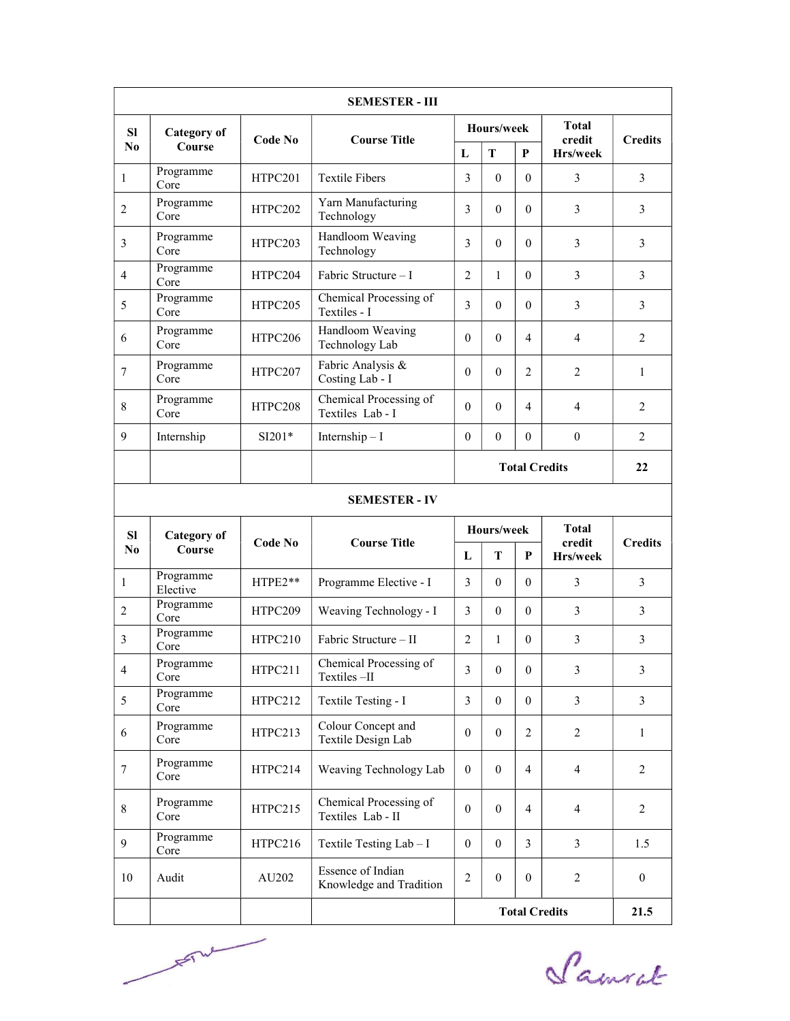|                  |                              |          | <b>SEMESTER - III</b>                        |                                                                  |                  |                |                        |                |
|------------------|------------------------------|----------|----------------------------------------------|------------------------------------------------------------------|------------------|----------------|------------------------|----------------|
| <b>SI</b>        | <b>Category of</b><br>Course | Code No  | <b>Course Title</b>                          | Hours/week                                                       |                  |                | <b>Total</b><br>credit | <b>Credits</b> |
| N <sub>0</sub>   |                              |          |                                              | L                                                                | T                | P              | Hrs/week               |                |
| 1                | Programme<br>Core            | HTPC201  | <b>Textile Fibers</b>                        |                                                                  | $\theta$         | $\Omega$       | 3                      | 3              |
| $\sqrt{2}$       | Programme<br>Core            | HTPC202  | Yarn Manufacturing<br>Technology             | 3                                                                | $\theta$         | $\mathbf{0}$   | 3                      | 3              |
| 3                | Programme<br>Core            | HTPC203  | Handloom Weaving<br>Technology               | 3                                                                | $\mathbf{0}$     | $\theta$       | 3                      | 3              |
| 4                | Programme<br>Core            | HTPC204  | Fabric Structure - I                         | 2                                                                | 1                | $\mathbf{0}$   | 3                      | 3              |
| 5                | Programme<br>Core            | HTPC205  | Chemical Processing of<br>Textiles - I       | 3                                                                | $\theta$         | $\theta$       | 3                      | 3              |
| 6                | Programme<br>Core            | HTPC206  | Handloom Weaving<br>Technology Lab           | $\theta$                                                         | $\theta$         | 4              | 4                      | 2              |
| $\boldsymbol{7}$ | Programme<br>Core            | HTPC207  | Fabric Analysis &<br>Costing Lab - I         |                                                                  | $\theta$         | 2              | 2                      | $\mathbf{1}$   |
| 8                | Programme<br>Core            | HTPC208  | Chemical Processing of<br>Textiles Lab - I   |                                                                  | $\theta$         | 4              | 4                      | 2              |
| 9                | Internship                   | $SI201*$ | Internship $-I$                              | $\mathbf{0}$                                                     | $\boldsymbol{0}$ | $\mathbf{0}$   | $\boldsymbol{0}$       | $\overline{2}$ |
|                  |                              |          |                                              | <b>Total Credits</b>                                             |                  |                |                        | 22             |
|                  |                              |          | <b>SEMESTER - IV</b>                         |                                                                  |                  |                |                        |                |
| <b>SI</b>        | <b>Category of</b>           |          |                                              | Hours/week                                                       |                  | <b>Total</b>   |                        |                |
| N <sub>0</sub>   | Course                       | Code No  | <b>Course Title</b>                          |                                                                  | T                | P              | credit<br>Hrs/week     | <b>Credits</b> |
| $\mathbf{1}$     | Programme<br>Elective        | HTPE2**  | Programme Elective - I                       | 3                                                                | $\mathbf{0}$     | $\overline{0}$ | 3                      | $\overline{3}$ |
| $\overline{2}$   | Programme<br>Core            | HTPC209  | Weaving Technology - I                       | 3                                                                | $\mathbf{0}$     | $\mathbf{0}$   | 3                      | 3              |
| 3                | Programme<br>Core            | HTPC210  | Fabric Structure - II                        | $\overline{2}$                                                   | $\mathbf{1}$     | $\mathbf{0}$   | $\mathfrak{Z}$         | 3              |
| $\overline{4}$   | $\bold{Programme}$<br>Core   | HTPC211  | Chemical Processing of<br>Textiles-II        | $\overline{3}$                                                   | $\boldsymbol{0}$ | $\mathbf{0}$   | $\mathfrak{Z}$         | 3              |
| 5                | Programme<br>Core            | HTPC212  | Textile Testing - I                          | 3                                                                | $\mathbf{0}$     | $\overline{0}$ | $\mathfrak{Z}$         | $\mathfrak{Z}$ |
| 6                | Programme<br>Core            | HTPC213  | Colour Concept and<br>Textile Design Lab     | $\mathbf{0}$                                                     | $\mathbf{0}$     | 2              | $\overline{2}$         | $\mathbf{1}$   |
| $\boldsymbol{7}$ | Programme<br>Core            | HTPC214  | Weaving Technology Lab                       | $\theta$                                                         | $\mathbf{0}$     | $\overline{4}$ | $\overline{4}$         | 2              |
| 8                | Programme<br>Core            | HTPC215  | Chemical Processing of<br>Textiles Lab - II  | $\theta$                                                         | $\mathbf{0}$     | 4              | $\overline{4}$         | $\overline{2}$ |
| 9                | Programme<br>Core            | HTPC216  | Textile Testing Lab - I                      | $\overline{0}$                                                   | $\mathbf{0}$     | 3              | 3                      | 1.5            |
| 10               | Audit                        | AU202    | Essence of Indian<br>Knowledge and Tradition | $\overline{2}$<br>$\overline{2}$<br>$\mathbf{0}$<br>$\mathbf{0}$ |                  |                | $\boldsymbol{0}$       |                |
|                  |                              |          |                                              | <b>Total Credits</b>                                             |                  |                | 21.5                   |                |

File

Samuel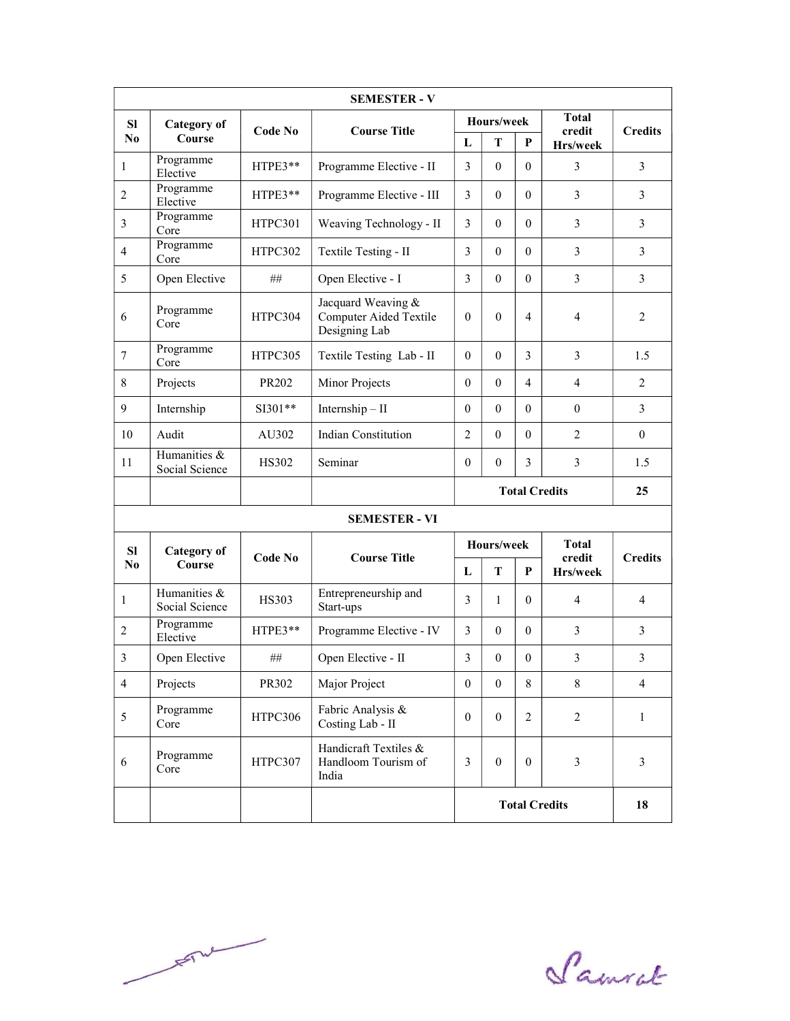|                |                                |              | <b>SEMESTER - V</b>                                                     |                      |                      |                  |                        |                |  |
|----------------|--------------------------------|--------------|-------------------------------------------------------------------------|----------------------|----------------------|------------------|------------------------|----------------|--|
| <b>SI</b>      | <b>Category</b> of             | Code No      | <b>Course Title</b>                                                     | Hours/week           |                      |                  | <b>Total</b><br>credit | <b>Credits</b> |  |
| N <sub>0</sub> | Course                         |              |                                                                         | L                    | T                    | P                | Hrs/week               |                |  |
| 1              | Programme<br>Elective          | HTPE3**      | Programme Elective - II                                                 | 3                    | $\mathbf{0}$         | $\mathbf{0}$     | $\overline{3}$         | $\overline{3}$ |  |
| $\overline{2}$ | Programme<br>Elective          | HTPE3**      | Programme Elective - III                                                | 3                    | $\mathbf{0}$         | $\mathbf{0}$     | 3                      | 3              |  |
| 3              | Programme<br>Core              | HTPC301      | Weaving Technology - II                                                 | 3                    | $\theta$             | $\theta$         | 3                      | $\overline{3}$ |  |
| $\overline{4}$ | Programme<br>Core              | HTPC302      | Textile Testing - II                                                    | 3                    | $\mathbf{0}$         | $\theta$         | 3                      | $\overline{3}$ |  |
| 5              | Open Elective                  | ##           | Open Elective - I                                                       | 3                    | $\theta$             | $\theta$         | 3                      | $\overline{3}$ |  |
| 6              | Programme<br>Core              | HTPC304      | Jacquard Weaving &<br>Computer Aided Textile<br>Designing Lab           |                      | $\theta$             | 4                | $\overline{4}$         | $\overline{2}$ |  |
| $\tau$         | Programme<br>Core              | HTPC305      | Textile Testing Lab - II                                                | $\theta$             | $\theta$             | 3                | 3                      | 1.5            |  |
| 8              | Projects                       | PR202        | Minor Projects                                                          |                      | $\mathbf{0}$         | 4                | $\overline{4}$         | $\overline{2}$ |  |
| 9              | Internship                     | $SI301**$    | $Internship - II$                                                       |                      | $\theta$             | $\theta$         | $\boldsymbol{0}$       | $\overline{3}$ |  |
| 10             | Audit                          | AU302        | <b>Indian Constitution</b>                                              | 2                    | $\mathbf{0}$         | $\mathbf{0}$     | $\overline{2}$         | $\overline{0}$ |  |
| 11             | Humanities &<br>Social Science | HS302        | Seminar                                                                 | $\theta$             | $\mathbf{0}$         | $\overline{3}$   | $\overline{3}$         | 1.5            |  |
|                |                                |              |                                                                         |                      | <b>Total Credits</b> |                  |                        | 25             |  |
|                |                                |              | <b>SEMESTER - VI</b>                                                    |                      |                      |                  |                        |                |  |
| <b>SI</b>      | <b>Category of</b>             |              |                                                                         | Hours/week           |                      |                  | <b>Total</b>           |                |  |
| N <sub>0</sub> | Course                         | Code No      | <b>Course Title</b>                                                     | L                    | Т                    | P                | credit<br>Hrs/week     | <b>Credits</b> |  |
| $\mathbf{1}$   | Humanities &<br>Social Science | <b>HS303</b> | Entrepreneurship and<br>Start-ups                                       | 3                    | $\mathbf{1}$         | $\theta$         | 4                      | $\overline{4}$ |  |
| $\overline{2}$ | Programme<br>Elective          | HTPE3**      | Programme Elective - IV                                                 | 3                    | $\mathbf{0}$         | $\mathbf{0}$     | 3                      | $\overline{3}$ |  |
| 3              | Open Elective                  | $\#\#$       | Open Elective - II                                                      | 3                    | $\boldsymbol{0}$     | $\mathbf{0}$     | 3                      | 3              |  |
| $\overline{4}$ | Projects                       | PR302        | Major Project                                                           | $\mathbf{0}$         | $\mathbf{0}$         | 8                | 8                      | $\overline{4}$ |  |
| 5              | Programme<br>Core              | HTPC306      | Fabric Analysis &<br>Costing Lab - II                                   | $\mathbf{0}$         | $\boldsymbol{0}$     | $\overline{2}$   | $\overline{2}$         | $\mathbf{1}$   |  |
| 6              | Programme<br>Core              | HTPC307      | Handicraft Textiles &<br>Handloom Tourism of<br>$\mathfrak{Z}$<br>India |                      | $\boldsymbol{0}$     | $\boldsymbol{0}$ | $\mathfrak{Z}$         | $\mathfrak{Z}$ |  |
|                |                                |              |                                                                         | <b>Total Credits</b> |                      |                  | 18                     |                |  |

 $F^{\mu\nu}$ 

Samuel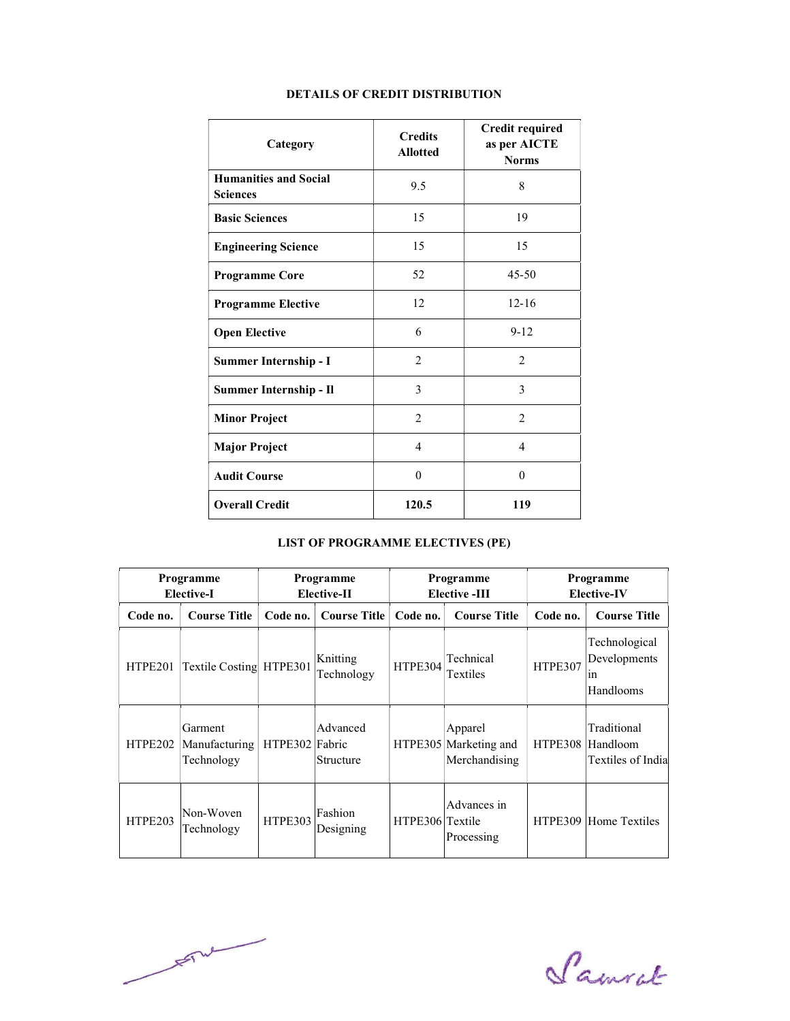| Category                                        | <b>Credits</b><br><b>Allotted</b> | <b>Credit required</b><br>as per AICTE<br><b>Norms</b> |
|-------------------------------------------------|-----------------------------------|--------------------------------------------------------|
| <b>Humanities and Social</b><br><b>Sciences</b> | 9.5                               | 8                                                      |
| <b>Basic Sciences</b>                           | 15                                | 19                                                     |
| <b>Engineering Science</b>                      | 15                                | 15                                                     |
| <b>Programme Core</b>                           | 52                                | $45 - 50$                                              |
| <b>Programme Elective</b>                       | 12                                | $12 - 16$                                              |
| <b>Open Elective</b>                            | 6                                 | $9 - 12$                                               |
| Summer Internship - I                           | 2                                 | 2                                                      |
| Summer Internship - Il                          | 3                                 | 3                                                      |
| <b>Minor Project</b>                            | 2                                 | $\overline{2}$                                         |
| <b>Major Project</b>                            | 4                                 | $\overline{4}$                                         |
| <b>Audit Course</b>                             | $\theta$                          | $\theta$                                               |
| <b>Overall Credit</b>                           | 120.5                             | 119                                                    |

## DETAILS OF CREDIT DISTRIBUTION

# LIST OF PROGRAMME ELECTIVES (PE)

| Programme<br><b>Elective-I</b> |                                        |                | Programme<br>Elective-II        | Programme<br><b>Elective -III</b> |                                                   |          |                                                  | Programme<br><b>Elective-IV</b> |  |
|--------------------------------|----------------------------------------|----------------|---------------------------------|-----------------------------------|---------------------------------------------------|----------|--------------------------------------------------|---------------------------------|--|
| Code no.                       | <b>Course Title</b>                    | Code no.       | <b>Course Title</b>             | Code no.                          | <b>Course Title</b>                               | Code no. | <b>Course Title</b>                              |                                 |  |
| HTPE201                        | <b>Textile Costing</b>                 | HTPE301        | Knitting<br>Technology          | HTPE304                           | Technical<br>Textiles                             | HTPE307  | Technological<br>Developments<br>1n<br>Handlooms |                                 |  |
| HTPE202                        | Garment<br>Manufacturing<br>Technology | <b>HTPE302</b> | Advanced<br>Fabric<br>Structure |                                   | Apparel<br>HTPE305 Marketing and<br>Merchandising | HTPE308  | Traditional<br>Handloom<br>Textiles of India     |                                 |  |
| HTPE203                        | Non-Woven<br>Technology                | HTPE303        | Fashion<br>Designing            | HTPE306 Textile                   | Advances in<br>Processing                         |          | HTPE309 Home Textiles                            |                                 |  |

 $\frac{1}{\sqrt{2}}\int d^{2}x\sqrt{2\pi x^{2}}\sqrt{2\pi x^{2}}\sqrt{2\pi x^{2}}\sqrt{2\pi x^{2}}\sqrt{2\pi x^{2}}\sqrt{2\pi x^{2}}\sqrt{2\pi x^{2}}\sqrt{2\pi x^{2}}\sqrt{2\pi x^{2}}\sqrt{2\pi x^{2}}\sqrt{2\pi x^{2}}\sqrt{2\pi x^{2}}\sqrt{2\pi x^{2}}\sqrt{2\pi x^{2}}\sqrt{2\pi x^{2}}\sqrt{2\pi x^{2}}\sqrt{2\pi x^{2}}\sqrt{2\pi x^{2}}\sqrt{2\pi x^{2}}\sqrt{2\pi x^{2}}\sqrt{$ 

Samuel